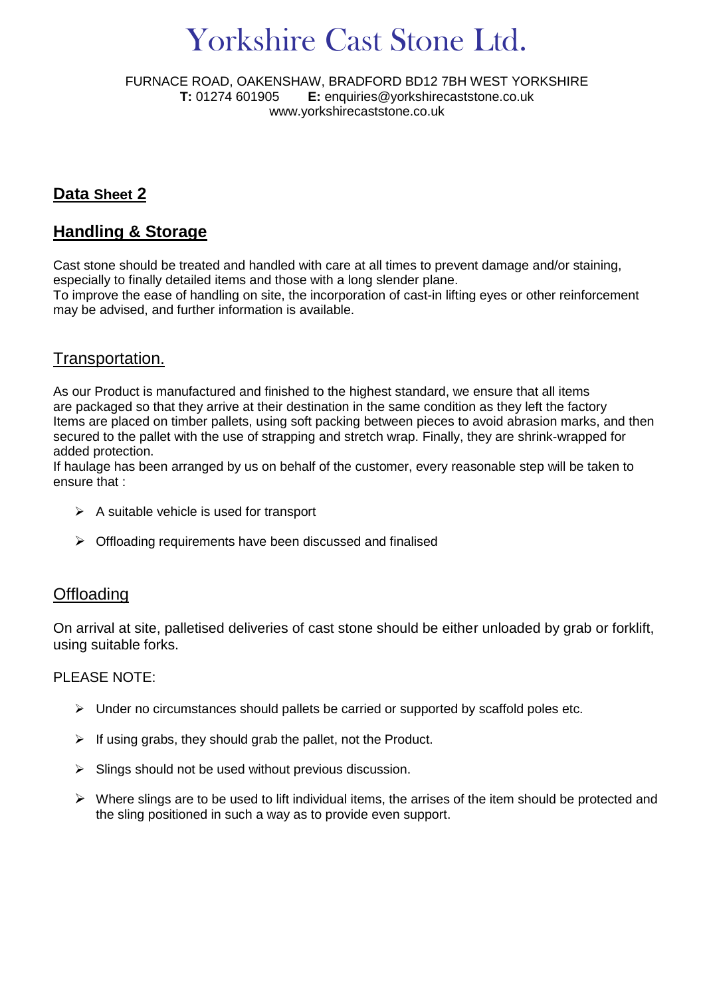# Yorkshire Cast Stone Ltd.

FURNACE ROAD, OAKENSHAW, BRADFORD BD12 7BH WEST YORKSHIRE **T:** 01274 601905 **E:** enquiries@yorkshirecaststone.co.uk www.yorkshirecaststone.co.uk

### **Data Sheet 2**

# **Handling & Storage**

Cast stone should be treated and handled with care at all times to prevent damage and/or staining, especially to finally detailed items and those with a long slender plane.

To improve the ease of handling on site, the incorporation of cast-in lifting eyes or other reinforcement may be advised, and further information is available.

#### Transportation.

As our Product is manufactured and finished to the highest standard, we ensure that all items are packaged so that they arrive at their destination in the same condition as they left the factory Items are placed on timber pallets, using soft packing between pieces to avoid abrasion marks, and then secured to the pallet with the use of strapping and stretch wrap. Finally, they are shrink-wrapped for added protection.

If haulage has been arranged by us on behalf of the customer, every reasonable step will be taken to ensure that :

- $\triangleright$  A suitable vehicle is used for transport
- $\triangleright$  Offloading requirements have been discussed and finalised

#### **Offloading**

On arrival at site, palletised deliveries of cast stone should be either unloaded by grab or forklift, using suitable forks.

#### PLEASE NOTE:

- $\triangleright$  Under no circumstances should pallets be carried or supported by scaffold poles etc.
- $\triangleright$  If using grabs, they should grab the pallet, not the Product.
- $\triangleright$  Slings should not be used without previous discussion.
- $\triangleright$  Where slings are to be used to lift individual items, the arrises of the item should be protected and the sling positioned in such a way as to provide even support.